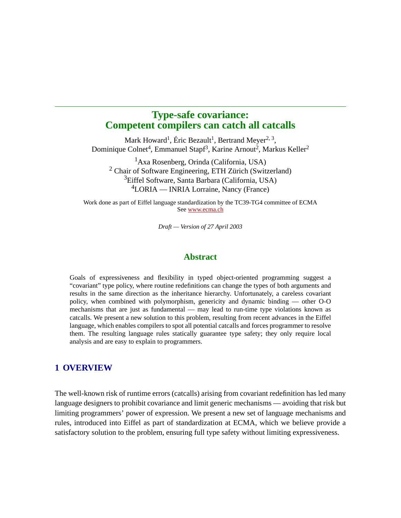# **Type-safe covariance: Competent compilers can catch all catcalls**

Mark Howard<sup>1</sup>, Éric Bezault<sup>1</sup>, Bertrand Meyer<sup>2, 3</sup>, Dominique Colnet<sup>4</sup>, Emmanuel Stapf<sup>3</sup>, Karine Arnout<sup>2</sup>, Markus Keller<sup>2</sup>

1Axa Rosenberg, Orinda (California, USA) 2 Chair of Software Engineering, ETH Zürich (Switzerland) 3Eiffel Software, Santa Barbara (California, USA) 4 LORIA — INRIA Lorraine, Nancy (France)

Work done as part of Eiffel language standardization by the TC39-TG4 committee of ECMA See [www.ecma.ch](http://www.ecma.ch)

*Draft — Version of 27 April 2003*

### **Abstract**

Goals of expressiveness and flexibility in typed object-oriented programming suggest a "covariant" type policy, where routine redefinitions can change the types of both arguments and results in the same direction as the inheritance hierarchy. Unfortunately, a careless covariant policy, when combined with polymorphism, genericity and dynamic binding — other O-O mechanisms that are just as fundamental — may lead to run-time type violations known as catcalls. We present a new solution to this problem, resulting from recent advances in the Eiffel language, which enables compilers to spot all potential catcalls and forces programmer to resolve them. The resulting language rules statically guarantee type safety; they only require local analysis and are easy to explain to programmers.

### **1 OVERVIEW**

The well-known risk of runtime errors (catcalls) arising from covariant redefinition has led many language designers to prohibit covariance and limit generic mechanisms — avoiding that risk but limiting programmers' power of expression. We present a new set of language mechanisms and rules, introduced into Eiffel as part of standardization at ECMA, which we believe provide a satisfactory solution to the problem, ensuring full type safety without limiting expressiveness.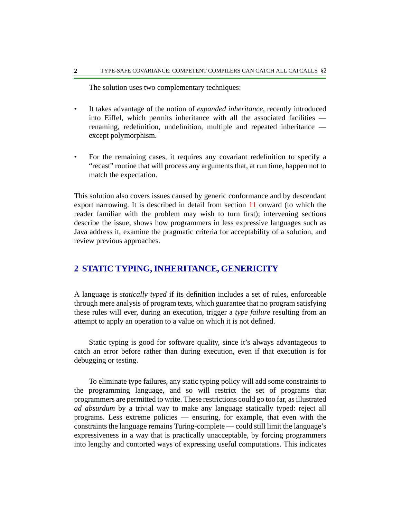The solution uses two complementary techniques:

- It takes advantage of the notion of *expanded inheritance*, recently introduced into Eiffel, which permits inheritance with all the associated facilities renaming, redefinition, undefinition, multiple and repeated inheritance except polymorphism.
- For the remaining cases, it requires any covariant redefinition to specify a "recast" routine that will process any arguments that, at run time, happen not to match the expectation.

This solution also covers issues caused by generic conformance and by descendant export narrowing. It is described in detail from section [11](#page-28-0) onward (to which the reader familiar with the problem may wish to turn first); intervening sections describe the issue, shows how programmers in less expressive languages such as Java address it, examine the pragmatic criteria for acceptability of a solution, and review previous approaches.

## **2 STATIC TYPING, INHERITANCE, GENERICITY**

A language is *statically typed* if its definition includes a set of rules, enforceable through mere analysis of program texts, which guarantee that no program satisfying these rules will ever, during an execution, trigger a *type failure* resulting from an attempt to apply an operation to a value on which it is not defined.

Static typing is good for software quality, since it's always advantageous to catch an error before rather than during execution, even if that execution is for debugging or testing.

To eliminate type failures, any static typing policy will add some constraints to the programming language, and so will restrict the set of programs that programmers are permitted to write. These restrictions could go too far, as illustrated *ad absurdum* by a trivial way to make any language statically typed: reject all programs. Less extreme policies — ensuring, for example, that even with the constraints the language remains Turing-complete — could still limit the language's expressiveness in a way that is practically unacceptable, by forcing programmers into lengthy and contorted ways of expressing useful computations. This indicates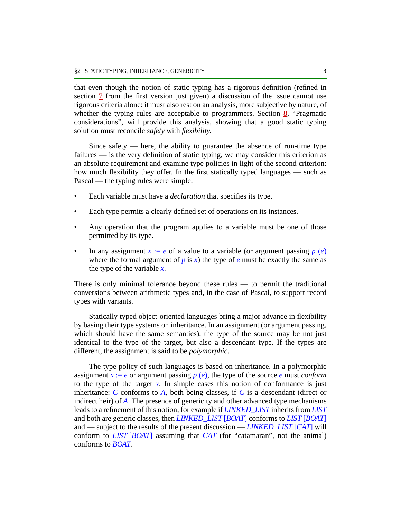that even though the notion of static typing has a rigorous definition (refined in section  $\overline{1}$  from the first version just given) a discussion of the issue cannot use rigorous criteria alone: it must also rest on an analysis, more subjective by nature, of whether the typing rules are acceptable to programmers. Section  $\frac{8}{2}$  $\frac{8}{2}$  $\frac{8}{2}$ , "Pragmatic considerations", will provide this analysis, showing that a good static typing solution must reconcile *safety* with *flexibility*.

Since safety  $-$  here, the ability to guarantee the absence of run-time type failures — is the very definition of static typing, we may consider this criterion as an absolute requirement and examine type policies in light of the second criterion: how much flexibility they offer. In the first statically typed languages — such as Pascal — the typing rules were simple:

- Each variable must have a *declaration* that specifies its type.
- Each type permits a clearly defined set of operations on its instances.
- Any operation that the program applies to a variable must be one of those permitted by its type.
- In any assignment  $x := e$  of a value to a variable (or argument passing  $p(e)$ where the formal argument of  $p$  is  $x$ ) the type of  $e$  must be exactly the same as the type of the variable *x*.

There is only minimal tolerance beyond these rules — to permit the traditional conversions between arithmetic types and, in the case of Pascal, to support record types with variants.

Statically typed object-oriented languages bring a major advance in flexibility by basing their type systems on inheritance. In an assignment (or argument passing, which should have the same semantics), the type of the source may be not just identical to the type of the target, but also a descendant type. If the types are different, the assignment is said to be *polymorphic*.

The type policy of such languages is based on inheritance. In a polymorphic assignment  $x := e$  or argument passing  $p(e)$ , the type of the source *e* must *conform* to the type of the target  $x$ . In simple cases this notion of conformance is just inheritance:  $C$  conforms to  $A$ , both being classes, if  $C$  is a descendant (direct or indirect heir) of *A*. The presence of genericity and other advanced type mechanisms leads to a refinement of this notion; for example if *LINKED\_LIST* inherits from *LIST* and both are generic classes, then *LINKED\_LIST* [*BOAT*] conforms to *LIST* [*BOAT*] and — subject to the results of the present discussion — *LINKED\_LIST* [*CAT*] will conform to *LIST* [*BOAT*] assuming that *CAT* (for "catamaran", not the animal) conforms to *BOAT*.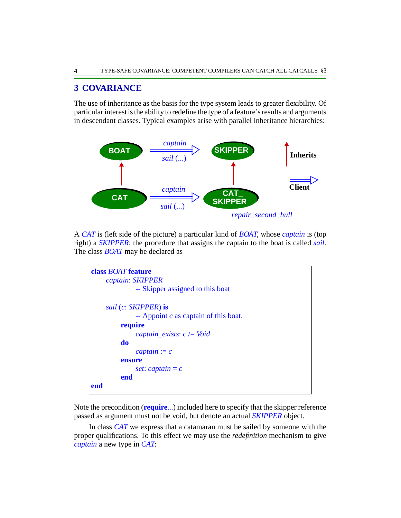# **3 COVARIANCE**

The use of inheritance as the basis for the type system leads to greater flexibility. Of particular interest is the ability to redefine the type of a feature's results and arguments in descendant classes. Typical examples arise with parallel inheritance hierarchies:

<span id="page-3-0"></span>

A *CAT* is (left side of the picture) a particular kind of *BOAT*, whose *captain* is (top right) a *SKIPPER*; the procedure that assigns the captain to the boat is called *sail*. The class *BOAT* may be declared as

```
class BOAT feature
    captain: SKIPPER
              -- Skipper assigned to this boat
    sail (c: SKIPPER) is
              -- Appoint c as captain of this boat.
         require
              captain_exists: c /= Void
         do
              captain := censure
              set: captain = c
         end
end
```
Note the precondition (**require**...) included here to specify that the skipper reference passed as argument must not be void, but denote an actual *SKIPPER* object.

In class *CAT* we express that a catamaran must be sailed by someone with the proper qualifications. To this effect we may use the *redefinition* mechanism to give *captain* a new type in *CAT*: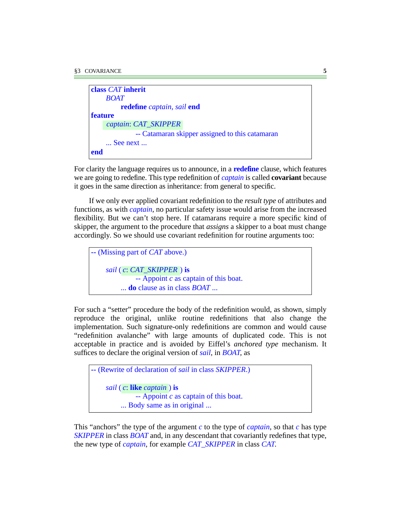| class <i>CAT</i> inherit   |                                                 |
|----------------------------|-------------------------------------------------|
| <b>BOAT</b>                |                                                 |
|                            | redefine captain, sail end                      |
| <b>feature</b>             |                                                 |
| captain: CAT_SKIPPER       |                                                 |
|                            | -- Catamaran skipper assigned to this catamaran |
| $\ldots$ See next $\ldots$ |                                                 |
| end                        |                                                 |

For clarity the language requires us to announce, in a **redefine** clause, which features we are going to redefine. This type redefinition of *captain* is called **covariant** because it goes in the same direction as inheritance: from general to specific.

If we only ever applied covariant redefinition to the *result type* of attributes and functions, as with *captain*, no particular safety issue would arise from the increased flexibility. But we can't stop here. If catamarans require a more specific kind of skipper, the argument to the procedure that *assigns* a skipper to a boat must change accordingly. So we should use covariant redefinition for routine arguments too:

```
-- (Missing part of CAT above.)
     sail ( ) is
c: CAT_SKIPPER
              -- Appoint c as captain of this boat.
          ... do clause as in class BOAT ...
```
For such a "setter" procedure the body of the redefinition would, as shown, simply reproduce the original, unlike routine redefinitions that also change the implementation. Such signature-only redefinitions are common and would cause "redefinition avalanche" with large amounts of duplicated code. This is not acceptable in practice and is avoided by Eiffel's *anchored type* mechanism. It suffices to declare the original version of *sail*, in *BOAT*, as

```
-- (Rewrite of declaration of sail in class SKIPPER.)
     sail ( ) is
c: like captain-- Appoint c as captain of this boat.
          ... Body same as in original ...
```
This "anchors" the type of the argument *c* to the type of *captain*, so that *c* has type *SKIPPER* in class *BOAT* and, in any descendant that covariantly redefines that type, the new type of *captain*, for example *CAT\_SKIPPER* in class *CAT*.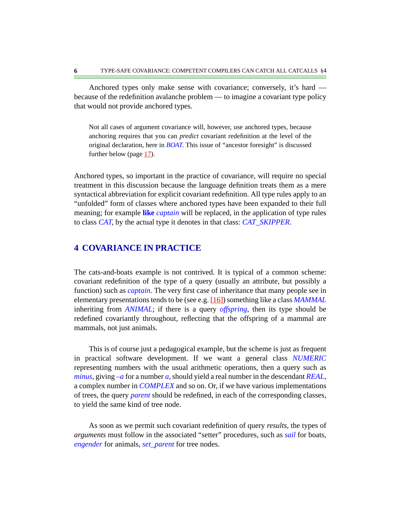Anchored types only make sense with covariance; conversely, it's hard because of the redefinition avalanche problem — to imagine a covariant type policy that would not provide anchored types.

Not all cases of argument covariance will, however, use anchored types, because anchoring requires that you can *predict* covariant redefinition at the level of the original declaration, here in *BOAT*. This issue of "ancestor foresight" is discussed further below (page  $1/2$ ).

Anchored types, so important in the practice of covariance, will require no special treatment in this discussion because the language definition treats them as a mere syntactical abbreviation for explicit covariant redefinition. All type rules apply to an "unfolded" form of classes where anchored types have been expanded to their full meaning; for example **like** *captain* will be replaced, in the application of type rules to class *CAT*, by the actual type it denotes in that class: *CAT\_SKIPPER*.

### **4 COVARIANCE IN PRACTICE**

The cats-and-boats example is not contrived. It is typical of a common scheme: covariant redefinition of the type of a query (usually an attribute, but possibly a function) such as *captain*. The very first case of inheritance that many people see in elementary presentations tends to be (see e.g. [\[16\]\)](#page-38-0) something like a class *MAMMAL* inheriting from *ANIMAL*; if there is a query *offspring*, then its type should be redefined covariantly throughout, reflecting that the offspring of a mammal are mammals, not just animals.

This is of course just a pedagogical example, but the scheme is just as frequent in practical software development. If we want a general class *NUMERIC* representing numbers with the usual arithmetic operations, then a query such as *minus*, giving *–a* for a number *a*, should yield a real number in the descendant *REAL*, a complex number in *COMPLEX* and so on. Or, if we have various implementations of trees, the query *parent* should be redefined, in each of the corresponding classes, to yield the same kind of tree node.

As soon as we permit such covariant redefinition of query *results*, the types of *arguments* must follow in the associated "setter" procedures, such as *sail* for boats, *engender* for animals, *set\_parent* for tree nodes.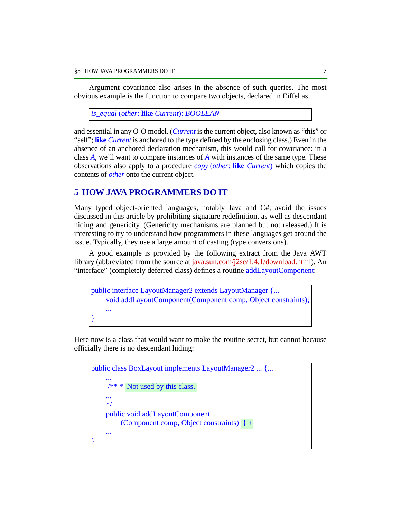Argument covariance also arises in the absence of such queries. The most obvious example is the function to compare two objects, declared in Eiffel as

*is\_equal* (*other*: **like** *Current*): *BOOLEAN*

and essential in any O-O model. (*Current* is the current object, also known as "this" or "self"; **like** *Current* is anchored to the type defined by the enclosing class.) Even in the absence of an anchored declaration mechanism, this would call for covariance: in a class *A*, we'll want to compare instances of *A* with instances of the same type. These observations also apply to a procedure *copy* (*other*: **like** *Current*) which copies the contents of *other* onto the current object.

### <span id="page-6-0"></span>**5 HOW JAVA PROGRAMMERS DO IT**

Many typed object-oriented languages, notably Java and C#, avoid the issues discussed in this article by prohibiting signature redefinition, as well as descendant hiding and genericity. (Genericity mechanisms are planned but not released.) It is interesting to try to understand how programmers in these languages get around the issue. Typically, they use a large amount of casting (type conversions).

A good example is provided by the following extract from the Java AWT library (abbreviated from the source at <u>[java.sun.com/j2se/1.4.1/download.html](http://java.sun.com/j2se/1.4.1/download.html)</u>). An "interface" (completely deferred class) defines a routine addLayoutComponent:

public interface LayoutManager2 extends LayoutManager {... void addLayoutComponent(Component comp, Object constraints); ... }

Here now is a class that would want to make the routine secret, but cannot because officially there is no descendant hiding:

```
public class BoxLayout implements LayoutManager2 ... {...
     ...
      /** *
Not used by this class.
     ...
     */
    public void addLayoutComponent
          (Component comp, Object constraints)
{ }...
}
```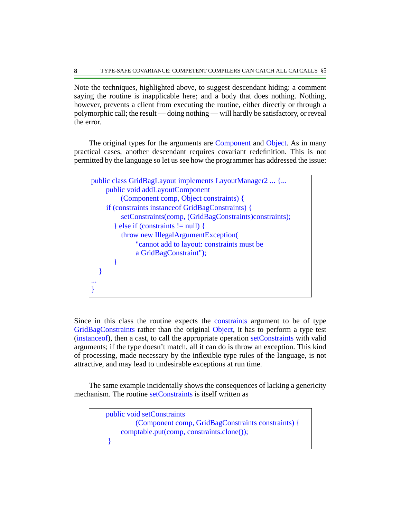Note the techniques, highlighted above, to suggest descendant hiding: a comment saying the routine is inapplicable here; and a body that does nothing. Nothing, however, prevents a client from executing the routine, either directly or through a polymorphic call; the result — doing nothing — will hardly be satisfactory, or reveal the error.

The original types for the arguments are Component and Object. As in many practical cases, another descendant requires covariant redefinition. This is not permitted by the language so let us see how the programmer has addressed the issue:

```
public class GridBagLayout implements LayoutManager2 ... {...
    public void addLayoutComponent
         (Component comp, Object constraints) {
     if (constraints instanceof GridBagConstraints) {
         setConstraints(comp, (GridBagConstraints)constraints);
        } else if (constraints != null) {
          throw new IllegalArgumentException(
              "cannot add to layout: constraints must be
              a GridBagConstraint");
      }
 }
...
}
```
Since in this class the routine expects the constraints argument to be of type GridBagConstraints rather than the original Object, it has to perform a type test (instanceof), then a cast, to call the appropriate operation setConstraints with valid arguments; if the type doesn't match, all it can do is throw an exception. This kind of processing, made necessary by the inflexible type rules of the language, is not attractive, and may lead to undesirable exceptions at run time.

The same example incidentally shows the consequences of lacking a genericity mechanism. The routine setConstraints is itself written as

public void setConstraints (Component comp, GridBagConstraints constraints) { comptable.put(comp, constraints.clone()); }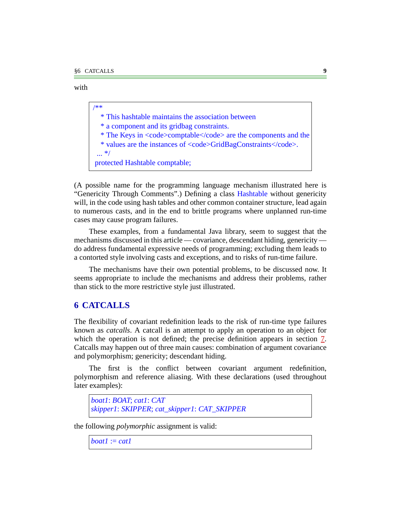/\*\*

with

 \* This hashtable maintains the association between \* a component and its gridbag constraints. \* The Keys in  $<$ code $>$ comptable $<$ /code $>$  are the components and the \* values are the instances of  $<$ code>GridBagConstraints $<$ /code>.

 ... \*/ protected Hashtable comptable;

(A possible name for the programming language mechanism illustrated here is "Genericity Through Comments".) Defining a class Hashtable without genericity will, in the code using hash tables and other common container structure, lead again to numerous casts, and in the end to brittle programs where unplanned run-time cases may cause program failures.

These examples, from a fundamental Java library, seem to suggest that the mechanisms discussed in this article — covariance, descendant hiding, genericity do address fundamental expressive needs of programming; excluding them leads to a contorted style involving casts and exceptions, and to risks of run-time failure.

The mechanisms have their own potential problems, to be discussed now. It seems appropriate to include the mechanisms and address their problems, rather than stick to the more restrictive style just illustrated.

## <span id="page-8-0"></span>**6 CATCALLS**

The flexibility of covariant redefinition leads to the risk of run-time type failures known as *catcalls*. A catcall is an attempt to apply an operation to an object for which the operation is not defined; the precise definition appears in section [7.](#page-11-0) Catcalls may happen out of three main causes: combination of argument covariance and polymorphism; genericity; descendant hiding.

The first is the conflict between covariant argument redefinition, polymorphism and reference aliasing. With these declarations (used throughout later examples):

```
boat1: BOAT; cat1: CAT
skipper1: SKIPPER; cat_skipper1: CAT_SKIPPER
```
the following *polymorphic* assignment is valid:

*boat1* := *cat1*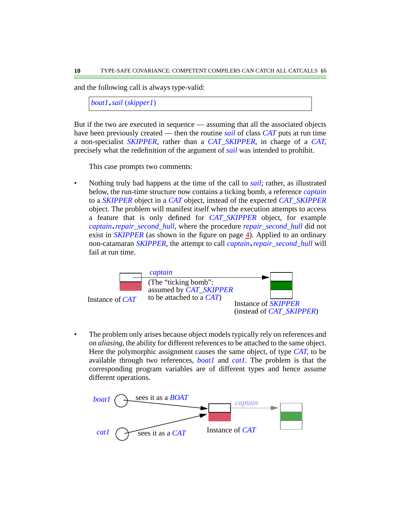and the following call is always type-valid:

*boat1*.*sail* (*skipper1*)

But if the two are executed in sequence — assuming that all the associated objects have been previously created — then the routine *sail* of class *CAT* puts at run time a non-specialist *SKIPPER*, rather than a *CAT\_SKIPPER*, in charge of a *CAT*, precisely what the redefinition of the argument of *sail* was intended to prohibit.

This case prompts two comments:

• Nothing truly bad happens at the time of the call to *sail*; rather, as illustrated below, the run-time structure now contains a ticking bomb, a reference *captain* to a *SKIPPER* object in a *CAT* object, instead of the expected *CAT\_SKIPPER* object. The problem will manifest itself when the execution attempts to access a feature that is only defined for *CAT\_SKIPPER* object, for example *captain*.*repair\_second\_hull*, where the procedure *repair\_second\_hull* did not exist in *SKIPPER* (as shown in the figure on page  $\overline{4}$ ). Applied to an ordinary non-catamaran *SKIPPER*, the attempt to call *captain*.*repair\_second\_hull* will fail at run time.



• The problem only arises because object models typically rely on references and on *aliasing*, the ability for different references to be attached to the same object. Here the polymorphic assignment causes the same object, of type *CAT*, to be available through two references, *boat1* and *cat1*. The problem is that the corresponding program variables are of different types and hence assume different operations.

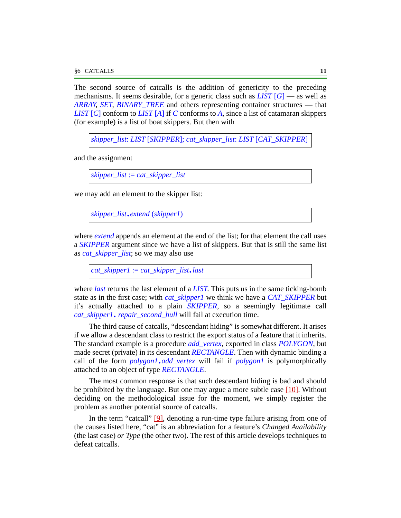The second source of catcalls is the addition of genericity to the preceding mechanisms. It seems desirable, for a generic class such as *LIST* [*G*] — as well as *ARRAY*, *SET*, *BINARY\_TREE* and others representing container structures — that *LIST* [*C*] conform to *LIST* [*A*] if *C* conforms to *A*, since a list of catamaran skippers (for example) is a list of boat skippers. But then with

*skipper\_list*: *LIST* [*SKIPPER*]; *cat\_skipper\_list*: *LIST* [*CAT\_SKIPPER*]

and the assignment

*skipper\_list* := *cat\_skipper\_list*

we may add an element to the skipper list:

```
skipper_list.extend (skipper1)
```
where *extend* appends an element at the end of the list; for that element the call uses a *SKIPPER* argument since we have a list of skippers. But that is still the same list as *cat\_skipper\_list*; so we may also use

*cat\_skipper1* := *cat\_skipper\_list*.*last*

where *last* returns the last element of a *LIST*. This puts us in the same ticking-bomb state as in the first case; with *cat\_skipper1* we think we have a *CAT\_SKIPPER* but it's actually attached to a plain *SKIPPER*, so a seemingly legitimate call *cat\_skipper1*. *repair\_second\_hull* will fail at execution time.

The third cause of catcalls, "descendant hiding" is somewhat different. It arises if we allow a descendant class to restrict the export status of a feature that it inherits. The standard example is a procedure *add\_vertex*, exported in class *POLYGON*, but made secret (private) in its descendant *RECTANGLE*. Then with dynamic binding a call of the form *polygon1*.*add\_vertex* will fail if *polygon1* is polymorphically attached to an object of type *RECTANGLE*.

The most common response is that such descendant hiding is bad and should be prohibited by the language. But one may argue a more subtle case [\[10\]](#page-38-1). Without deciding on the methodological issue for the moment, we simply register the problem as another potential source of catcalls.

In the term "catcall" [\[9\],](#page-38-2) denoting a run-time type failure arising from one of the causes listed here, "cat" is an abbreviation for a feature's *Changed Availability* (the last case) *or Type* (the other two). The rest of this article develops techniques to defeat catcalls.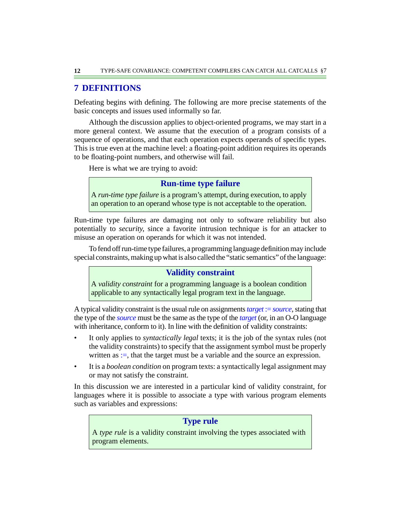# <span id="page-11-0"></span>**7 DEFINITIONS**

Defeating begins with defining. The following are more precise statements of the basic concepts and issues used informally so far.

Although the discussion applies to object-oriented programs, we may start in a more general context. We assume that the execution of a program consists of a sequence of operations, and that each operation expects operands of specific types. This is true even at the machine level: a floating-point addition requires its operands to be floating-point numbers, and otherwise will fail.

Here is what we are trying to avoid:

## **Run-time type failure**

A *run-time type failure* is a program's attempt, during execution, to apply an operation to an operand whose type is not acceptable to the operation.

Run-time type failures are damaging not only to software reliability but also potentially to *security*, since a favorite intrusion technique is for an attacker to misuse an operation on operands for which it was not intended.

To fend off run-time type failures, a programming language definition may include special constraints, making up what is also called the "static semantics" of the language:

## **Validity constraint**

A *validity constraint* for a programming language is a boolean condition applicable to any syntactically legal program text in the language.

A typical validity constraint is the usual rule on assignments*target* := *source*, stating that the type of the *source* must be the same as the type of the *target* (or, in an O-O language with inheritance, conform to it). In line with the definition of validity constraints:

- It only applies to *syntactically legal* texts; it is the job of the syntax rules (not the validity constraints) to specify that the assignment symbol must be properly written as  $:=$ , that the target must be a variable and the source an expression.
- It is a *boolean condition* on program texts: a syntactically legal assignment may or may not satisfy the constraint.

In this discussion we are interested in a particular kind of validity constraint, for languages where it is possible to associate a type with various program elements such as variables and expressions:

# **Type rule**

A *type rule* is a validity constraint involving the types associated with program elements.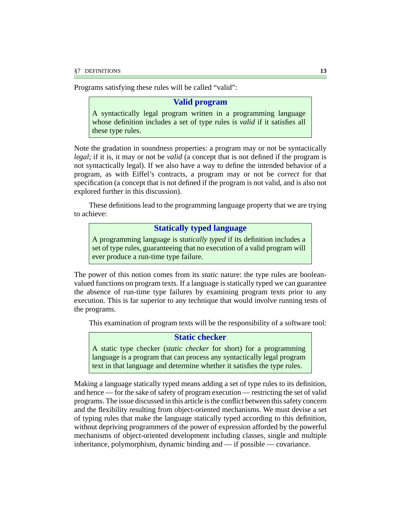Programs satisfying these rules will be called "valid":

### **Valid program**

A syntactically legal program written in a programming language whose definition includes a set of type rules is *valid* if it satisfies all these type rules.

Note the gradation in soundness properties: a program may or not be syntactically *legal*; if it is, it may or not be *valid* (a concept that is not defined if the program is not syntactically legal). If we also have a way to define the intended behavior of a program, as with Eiffel's contracts, a program may or not be *correct* for that specification (a concept that is not defined if the program is not valid, and is also not explored further in this discussion).

These definitions lead to the programming language property that we are trying to achieve:

### **Statically typed language**

A programming language is *statically typed* if its definition includes a set of type rules, guaranteeing that no execution of a valid program will ever produce a run-time type failure.

The power of this notion comes from its *static* nature: the type rules are booleanvalued functions on program texts. If a language is statically typed we can guarantee the absence of run-time type failures by examining program texts prior to any execution. This is far superior to any technique that would involve running tests of the programs.

This examination of program texts will be the responsibility of a software tool:

### **Static checker**

A static type checker (*static checker* for short) for a programming language is a program that can process any syntactically legal program text in that language and determine whether it satisfies the type rules.

Making a language statically typed means adding a set of type rules to its definition, and hence — for the sake of safety of program execution — restricting the set of valid programs. The issue discussed in this article is the conflict between this safety concern and the flexibility resulting from object-oriented mechanisms. We must devise a set of typing rules that make the language statically typed according to this definition, without depriving programmers of the power of expression afforded by the powerful mechanisms of object-oriented development including classes, single and multiple inheritance, polymorphism, dynamic binding and — if possible — covariance.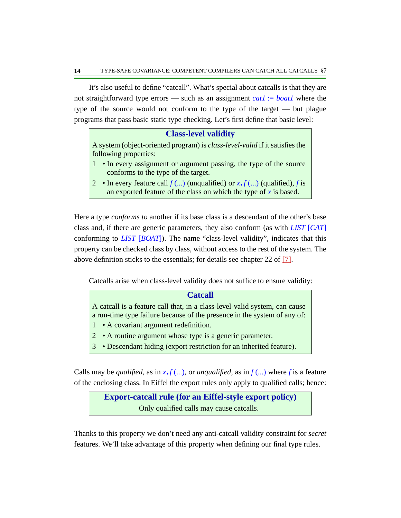It's also useful to define "catcall". What's special about catcalls is that they are not straightforward type errors — such as an assignment *cat1* := *boat1* where the type of the source would not conform to the type of the target — but plague programs that pass basic static type checking. Let's first define that basic level:

### **Class-level validity**

A system (object-oriented program) is *class-level-valid* if it satisfies the following properties:

- 1 In every assignment or argument passing, the type of the source conforms to the type of the target.
- 2 In every feature call  $f$  (...) (unqualified) or  $x \cdot f$  (...) (qualified),  $f$  is an exported feature of the class on which the type of *x* is based.

Here a type *conforms to* another if its base class is a descendant of the other's base class and, if there are generic parameters, they also conform (as with *LIST* [*CAT*] conforming to *LIST* [*BOAT*]). The name "class-level validity", indicates that this property can be checked class by class, without access to the rest of the system. The above definition sticks to the essentials; for details see chapter 22 of [\[7\].](#page-38-3)

Catcalls arise when class-level validity does not suffice to ensure validity:

### **Catcall**

A catcall is a feature call that, in a class-level-valid system, can cause a run-time type failure because of the presence in the system of any of:

- 1 A covariant argument redefinition.
- 2 A routine argument whose type is a generic parameter.
- 3 Descendant hiding (export restriction for an inherited feature).

Calls may be *qualified*, as in  $x \cdot f$  (...), or *unqualified*, as in  $f$  (...) where f is a feature of the enclosing class. In Eiffel the export rules only apply to qualified calls; hence:

> <span id="page-13-0"></span>**Export-catcall rule (for an Eiffel-style export policy)** Only qualified calls may cause catcalls.

Thanks to this property we don't need any anti-catcall validity constraint for *secret* features. We'll take advantage of this property when defining our final type rules.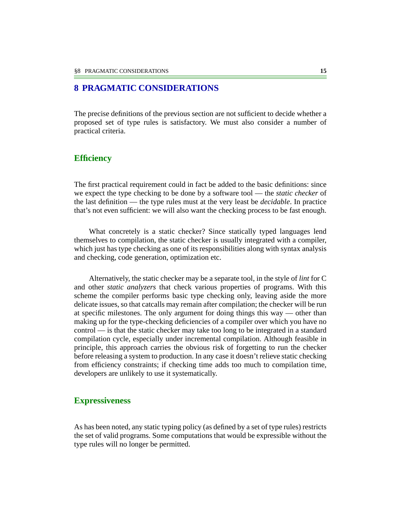### <span id="page-14-0"></span>**8 PRAGMATIC CONSIDERATIONS**

The precise definitions of the previous section are not sufficient to decide whether a proposed set of type rules is satisfactory. We must also consider a number of practical criteria.

#### **Efficiency**

The first practical requirement could in fact be added to the basic definitions: since we expect the type checking to be done by a software tool — the *static checker* of the last definition — the type rules must at the very least be *decidable*. In practice that's not even sufficient: we will also want the checking process to be fast enough.

What concretely is a static checker? Since statically typed languages lend themselves to compilation, the static checker is usually integrated with a compiler, which just has type checking as one of its responsibilities along with syntax analysis and checking, code generation, optimization etc.

Alternatively, the static checker may be a separate tool, in the style of *lint* for C and other *static analyzers* that check various properties of programs. With this scheme the compiler performs basic type checking only, leaving aside the more delicate issues, so that catcalls may remain after compilation; the checker will be run at specific milestones. The only argument for doing things this way — other than making up for the type-checking deficiencies of a compiler over which you have no control — is that the static checker may take too long to be integrated in a standard compilation cycle, especially under incremental compilation. Although feasible in principle, this approach carries the obvious risk of forgetting to run the checker before releasing a system to production. In any case it doesn't relieve static checking from efficiency constraints; if checking time adds too much to compilation time, developers are unlikely to use it systematically.

#### **Expressiveness**

As has been noted, any static typing policy (as defined by a set of type rules) restricts the set of valid programs. Some computations that would be expressible without the type rules will no longer be permitted.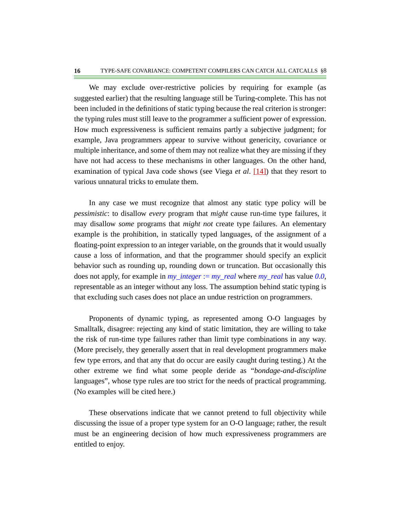We may exclude over-restrictive policies by requiring for example (as suggested earlier) that the resulting language still be Turing-complete. This has not been included in the definitions of static typing because the real criterion is stronger: the typing rules must still leave to the programmer a sufficient power of expression. How much expressiveness is sufficient remains partly a subjective judgment; for example, Java programmers appear to survive without genericity, covariance or multiple inheritance, and some of them may not realize what they are missing if they have not had access to these mechanisms in other languages. On the other hand, examination of typical Java code shows (see Viega *et al*. [\[14\]](#page-38-4)) that they resort to various unnatural tricks to emulate them.

In any case we must recognize that almost any static type policy will be *pessimistic*: to disallow *every* program that *might* cause run-time type failures, it may disallow *some* programs that *might not* create type failures. An elementary example is the prohibition, in statically typed languages, of the assignment of a floating-point expression to an integer variable, on the grounds that it would usually cause a loss of information, and that the programmer should specify an explicit behavior such as rounding up, rounding down or truncation. But occasionally this does not apply, for example in *my\_integer* := *my\_real* where *my\_real* has value *0*.*0*, representable as an integer without any loss. The assumption behind static typing is that excluding such cases does not place an undue restriction on programmers.

Proponents of dynamic typing, as represented among O-O languages by Smalltalk, disagree: rejecting any kind of static limitation, they are willing to take the risk of run-time type failures rather than limit type combinations in any way. (More precisely, they generally assert that in real development programmers make few type errors, and that any that do occur are easily caught during testing.) At the other extreme we find what some people deride as "*bondage-and-discipline* languages", whose type rules are too strict for the needs of practical programming. (No examples will be cited here.)

These observations indicate that we cannot pretend to full objectivity while discussing the issue of a proper type system for an O-O language; rather, the result must be an engineering decision of how much expressiveness programmers are entitled to enjoy.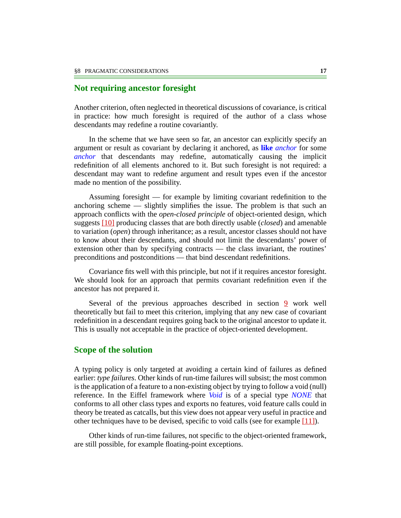#### <span id="page-16-0"></span>**Not requiring ancestor foresight**

Another criterion, often neglected in theoretical discussions of covariance, is critical in practice: how much foresight is required of the author of a class whose descendants may redefine a routine covariantly.

In the scheme that we have seen so far, an ancestor can explicitly specify an argument or result as covariant by declaring it anchored, as **like** *anchor* for some *anchor* that descendants may redefine, automatically causing the implicit redefinition of all elements anchored to it. But such foresight is not required: a descendant may want to redefine argument and result types even if the ancestor made no mention of the possibility.

Assuming foresight — for example by limiting covariant redefinition to the anchoring scheme — slightly simplifies the issue. The problem is that such an approach conflicts with the *open-closed principle* of object-oriented design, which suggests [\[10\]](#page-38-1) producing classes that are both directly usable (*closed*) and amenable to variation (*open*) through inheritance; as a result, ancestor classes should not have to know about their descendants, and should not limit the descendants' power of extension other than by specifying contracts — the class invariant, the routines' preconditions and postconditions — that bind descendant redefinitions.

Covariance fits well with this principle, but not if it requires ancestor foresight. We should look for an approach that permits covariant redefinition even if the ancestor has not prepared it.

Several of the previous approaches described in section [9](#page-19-0) work well theoretically but fail to meet this criterion, implying that any new case of covariant redefinition in a descendant requires going back to the original ancestor to update it. This is usually not acceptable in the practice of object-oriented development.

#### **Scope of the solution**

A typing policy is only targeted at avoiding a certain kind of failures as defined earlier: *type failures*. Other kinds of run-time failures will subsist; the most common is the application of a feature to a non-existing object by trying to follow a void (null) reference. In the Eiffel framework where *Void* is of a special type *NONE* that conforms to all other class types and exports no features, void feature calls could in theory be treated as catcalls, but this view does not appear very useful in practice and other techniques have to be devised, specific to void calls (see for example  $[11]$ ).

Other kinds of run-time failures, not specific to the object-oriented framework, are still possible, for example floating-point exceptions.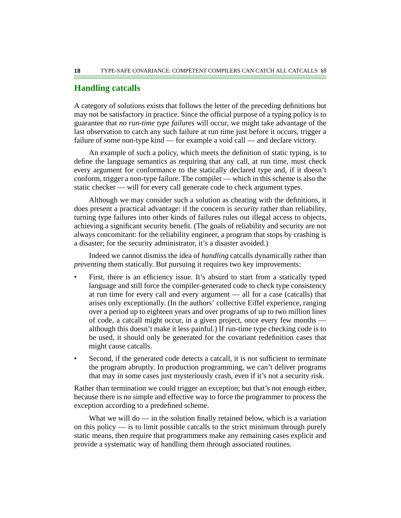### **Handling catcalls**

A category of solutions exists that follows the letter of the preceding definitions but may not be satisfactory in practice. Since the official purpose of a typing policy is to guarantee that *no run-time type failures* will occur, we might take advantage of the last observation to catch any such failure at run time just before it occurs, trigger a failure of some non-type kind — for example a void call — and declare victory.

An example of such a policy, which meets the definition of static typing, is to define the language semantics as requiring that any call, at run time, must check every argument for conformance to the statically declared type and, if it doesn't conform, trigger a non-type failure. The compiler — which in this scheme is also the static checker — will for every call generate code to check argument types.

Although we may consider such a solution as cheating with the definitions, it does present a practical advantage: if the concern is *security* rather than reliability, turning type failures into other kinds of failures rules out illegal access to objects, achieving a significant security benefit. (The goals of reliability and security are not always concomitant: for the reliability engineer, a program that stops by crashing is a disaster; for the security administrator, it's a disaster avoided.)

Indeed we cannot dismiss the idea of *handling* catcalls dynamically rather than *preventing* them statically. But pursuing it requires two key improvements:

- First, there is an efficiency issue. It's absurd to start from a statically typed language and still force the compiler-generated code to check type consistency at run time for every call and every argument — all for a case (catcalls) that arises only exceptionally. (In the authors' collective Eiffel experience, ranging over a period up to eighteen years and over programs of up to two million lines of code, a catcall might occur, in a given project, once every few months although this doesn't make it less painful.) If run-time type checking code is to be used, it should only be generated for the covariant redefinition cases that might cause catcalls.
- Second, if the generated code detects a catcall, it is not sufficient to terminate the program abruptly. In production programming, we can't deliver programs that may in some cases just mysteriously crash, even if it's not a security risk.

Rather than termination we could trigger an exception; but that's not enough either, because there is no simple and effective way to force the programmer to process the exception according to a predefined scheme.

What we will do  $\frac{1}{\sqrt{1-\mu}}$  in the solution finally retained below, which is a variation on this policy — is to limit possible catcalls to the strict minimum through purely static means, then require that programmers make any remaining cases explicit and provide a systematic way of handling them through associated routines.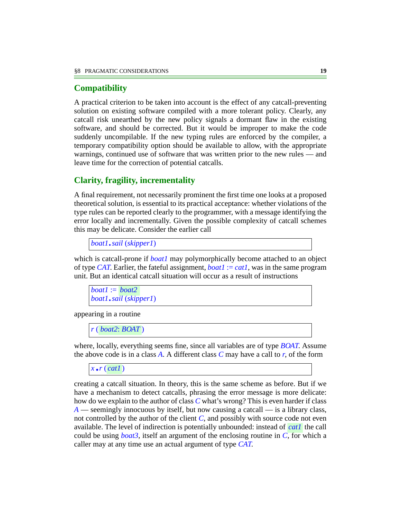### **Compatibility**

A practical criterion to be taken into account is the effect of any catcall-preventing solution on existing software compiled with a more tolerant policy. Clearly, any catcall risk unearthed by the new policy signals a dormant flaw in the existing software, and should be corrected. But it would be improper to make the code suddenly uncompilable. If the new typing rules are enforced by the compiler, a temporary compatibility option should be available to allow, with the appropriate warnings, continued use of software that was written prior to the new rules — and leave time for the correction of potential catcalls.

# **Clarity, fragility, incrementality**

A final requirement, not necessarily prominent the first time one looks at a proposed theoretical solution, is essential to its practical acceptance: whether violations of the type rules can be reported clearly to the programmer, with a message identifying the error locally and incrementally. Given the possible complexity of catcall schemes this may be delicate. Consider the earlier call

*boat1*.*sail* (*skipper1*)

which is catcall-prone if *boat1* may polymorphically become attached to an object of type *CAT*. Earlier, the fateful assignment,  $boat1 := cat1$ , was in the same program unit. But an identical catcall situation will occur as a result of instructions

```
boat1 :=
boat2
boat1.sail (skipper1)
```
appearing in a routine

```
r ( )
boat2: BOAT
```
where, locally, everything seems fine, since all variables are of type *BOAT*. Assume the above code is in a class *A*. A different class *C* may have a call to *r*, of the form

 $\overline{x}$ .*r* (*cat1*)

creating a catcall situation. In theory, this is the same scheme as before. But if we have a mechanism to detect catcalls, phrasing the error message is more delicate: how do we explain to the author of class *C* what's wrong? This is even harder if class *A* — seemingly innocuous by itself, but now causing a catcall — is a library class, not controlled by the author of the client  $C$ , and possibly with source code not even available. The level of indirection is potentially unbounded: instead of *cat1* the call could be using *boat3*, itself an argument of the enclosing routine in *C*, for which a caller may at any time use an actual argument of type *CAT*.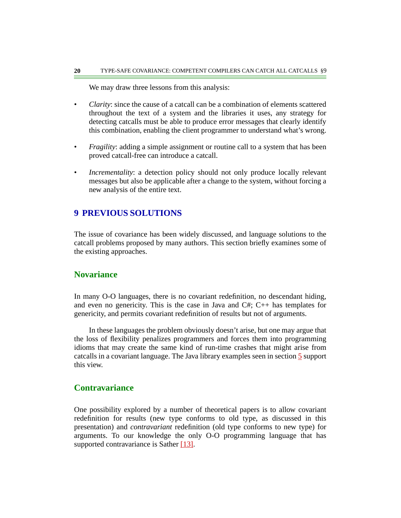We may draw three lessons from this analysis:

- *Clarity*: since the cause of a catcall can be a combination of elements scattered throughout the text of a system and the libraries it uses, any strategy for detecting catcalls must be able to produce error messages that clearly identify this combination, enabling the client programmer to understand what's wrong.
- *Fragility*: adding a simple assignment or routine call to a system that has been proved catcall-free can introduce a catcall.
- *Incrementality*: a detection policy should not only produce locally relevant messages but also be applicable after a change to the system, without forcing a new analysis of the entire text.

#### <span id="page-19-0"></span>**9 PREVIOUS SOLUTIONS**

The issue of covariance has been widely discussed, and language solutions to the catcall problems proposed by many authors. This section briefly examines some of the existing approaches.

#### **Novariance**

In many O-O languages, there is no covariant redefinition, no descendant hiding, and even no genericity. This is the case in Java and C#; C++ has templates for genericity, and permits covariant redefinition of results but not of arguments.

In these languages the problem obviously doesn't arise, but one may argue that the loss of flexibility penalizes programmers and forces them into programming idioms that may create the same kind of run-time crashes that might arise from catcalls in a covariant language. The Java library examples seen in section [5](#page-6-0) support this view.

### **Contravariance**

One possibility explored by a number of theoretical papers is to allow covariant redefinition for results (new type conforms to old type, as discussed in this presentation) and *contravariant* redefinition (old type conforms to new type) for arguments. To our knowledge the only O-O programming language that has supported contravariance is Sather [\[13\]](#page-38-6).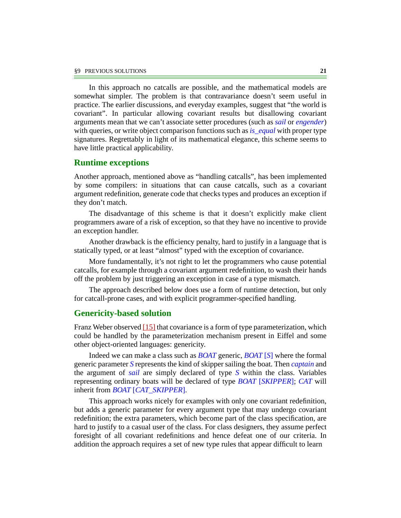In this approach no catcalls are possible, and the mathematical models are somewhat simpler. The problem is that contravariance doesn't seem useful in practice. The earlier discussions, and everyday examples, suggest that "the world is covariant". In particular allowing covariant results but disallowing covariant arguments mean that we can't associate setter procedures (such as *sail* or *engender*) with queries, or write object comparison functions such as *is\_equal* with proper type signatures. Regrettably in light of its mathematical elegance, this scheme seems to have little practical applicability.

#### **Runtime exceptions**

Another approach, mentioned above as "handling catcalls", has been implemented by some compilers: in situations that can cause catcalls, such as a covariant argument redefinition, generate code that checks types and produces an exception if they don't match.

The disadvantage of this scheme is that it doesn't explicitly make client programmers aware of a risk of exception, so that they have no incentive to provide an exception handler.

Another drawback is the efficiency penalty, hard to justify in a language that is statically typed, or at least "almost" typed with the exception of covariance.

More fundamentally, it's not right to let the programmers who cause potential catcalls, for example through a covariant argument redefinition, to wash their hands off the problem by just triggering an exception in case of a type mismatch.

The approach described below does use a form of runtime detection, but only for catcall-prone cases, and with explicit programmer-specified handling.

#### **Genericity-based solution**

Franz Weber observed  $[15]$  that covariance is a form of type parameterization, which could be handled by the parameterization mechanism present in Eiffel and some other object-oriented languages: genericity.

Indeed we can make a class such as *BOAT* generic, *BOAT* [*S*] where the formal generic parameter *S* represents the kind of skipper sailing the boat. Then *captain* and the argument of *sail* are simply declared of type *S* within the class. Variables representing ordinary boats will be declared of type *BOAT* [*SKIPPER*]; *CAT* will inherit from *BOAT* [*CAT\_SKIPPER*].

This approach works nicely for examples with only one covariant redefinition, but adds a generic parameter for every argument type that may undergo covariant redefinition; the extra parameters, which become part of the class specification, are hard to justify to a casual user of the class. For class designers, they assume perfect foresight of all covariant redefinitions and hence defeat one of our criteria. In addition the approach requires a set of new type rules that appear difficult to learn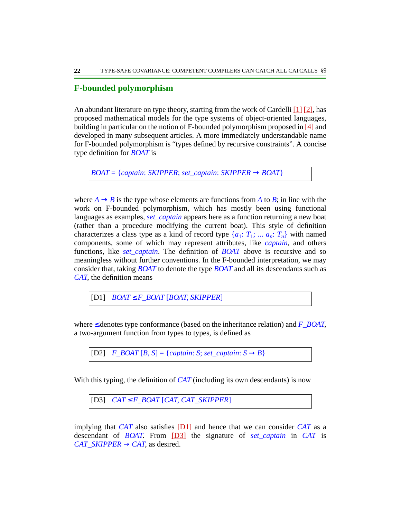### **F-bounded polymorphism**

An abundant literature on type theory, starting from the work of Cardelli [\[1\]](#page-37-0) [\[2\],](#page-37-1) has proposed mathematical models for the type systems of object-oriented languages, building in particular on the notion of F-bounded polymorphism proposed in [\[4\]](#page-37-2) and developed in many subsequent articles. A more immediately understandable name for F-bounded polymorphism is "types defined by recursive constraints". A concise type definition for *BOAT* is

*BOAT* = {*captain*: *SKIPPER*; *set\_captain*: *SKIPPER* → *BOAT*}

where  $A \rightarrow B$  is the type whose elements are functions from A to B; in line with the work on F-bounded polymorphism, which has mostly been using functional languages as examples, *set\_captain* appears here as a function returning a new boat (rather than a procedure modifying the current boat). This style of definition characterizes a class type as a kind of record type  $\{a_1: T_1; \ldots, a_n: T_n\}$  with named components, some of which may represent attributes, like *captain*, and others functions, like *set\_captain*. The definition of *BOAT* above is recursive and so meaningless without further conventions. In the F-bounded interpretation, we may consider that, taking *BOAT* to denote the type *BOAT* and all its descendants such as *CAT*, the definition means

<span id="page-21-0"></span>[D1] *BOAT* ≤ *F\_BOAT* [*BOAT*, *SKIPPER*]

where ≤ denotes type conformance (based on the inheritance relation) and *F\_BOAT*, a two-argument function from types to types, is defined as

 $[D2]$   $F\_BOAT[B, S] = \{capian: S; set\_captain: S \rightarrow B\}$ 

With this typing, the definition of *CAT* (including its own descendants) is now

<span id="page-21-1"></span>[D3] *CAT* ≤ *F\_BOAT* [*CAT*, *CAT\_SKIPPER*]

implying that *CAT* also satisfies [\[D1\]](#page-21-0) and hence that we can consider *CAT* as a descendant of *BOAT*. From [\[D3\]](#page-21-1) the signature of *set\_captain* in *CAT* is *CAT\_SKIPPER*  $\rightarrow$  *CAT*, as desired.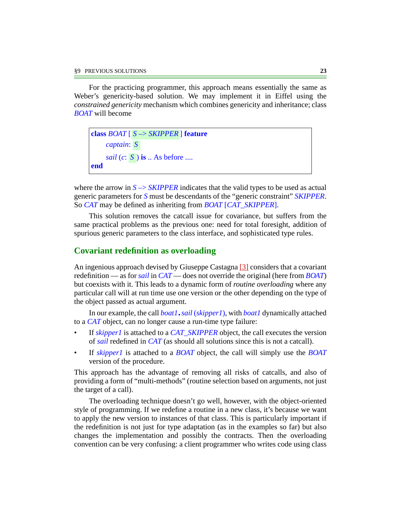For the practicing programmer, this approach means essentially the same as Weber's genericity-based solution. We may implement it in Eiffel using the *constrained genericity* mechanism which combines genericity and inheritance; class *BOAT* will become

```
class BOAT [ S \rightarrow SKIPPER ] feature
     captain:
S
     sail (c: S ) is .. As before ....
end
```
where the arrow in  $S \rightarrow SKIPPER$  indicates that the valid types to be used as actual generic parameters for *S* must be descendants of the "generic constraint" *SKIPPER*. So *CAT* may be defined as inheriting from *BOAT* [*CAT\_SKIPPER*].

This solution removes the catcall issue for covariance, but suffers from the same practical problems as the previous one: need for total foresight, addition of spurious generic parameters to the class interface, and sophisticated type rules.

#### **Covariant redefinition as overloading**

An ingenious approach devised by Giuseppe Castagna [\[3\]](#page-37-3) considers that a covariant redefinition — as for *sail* in *CAT* — does not override the original (here from *BOAT*) but coexists with it. This leads to a dynamic form of *routine overloading* where any particular call will at run time use one version or the other depending on the type of the object passed as actual argument.

In our example, the call *boat1*.*sail* (*skipper1*), with *boat1* dynamically attached to a *CAT* object, can no longer cause a run-time type failure:

- If *skipper1* is attached to a *CAT\_SKIPPER* object, the call executes the version of *sail* redefined in *CAT* (as should all solutions since this is not a catcall).
- If *skipper1* is attached to a *BOAT* object, the call will simply use the *BOAT* version of the procedure.

This approach has the advantage of removing all risks of catcalls, and also of providing a form of "multi-methods" (routine selection based on arguments, not just the target of a call).

The overloading technique doesn't go well, however, with the object-oriented style of programming. If we redefine a routine in a new class, it's because we want to apply the new version to instances of that class. This is particularly important if the redefinition is not just for type adaptation (as in the examples so far) but also changes the implementation and possibly the contracts. Then the overloading convention can be very confusing: a client programmer who writes code using class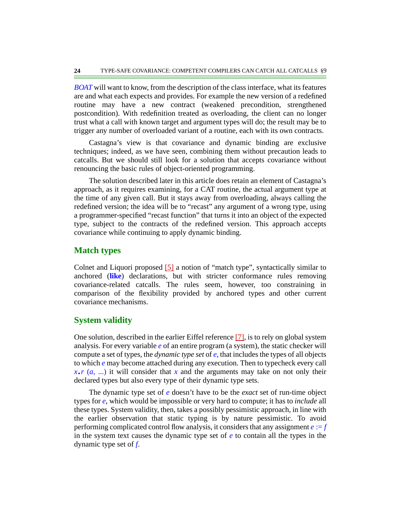*BOAT* will want to know, from the description of the class interface, what its features are and what each expects and provides. For example the new version of a redefined routine may have a new contract (weakened precondition, strengthened postcondition). With redefinition treated as overloading, the client can no longer trust what a call with known target and argument types will do; the result may be to trigger any number of overloaded variant of a routine, each with its own contracts.

Castagna's view is that covariance and dynamic binding are exclusive techniques; indeed, as we have seen, combining them without precaution leads to catcalls. But we should still look for a solution that accepts covariance without renouncing the basic rules of object-oriented programming.

The solution described later in this article does retain an element of Castagna's approach, as it requires examining, for a CAT routine, the actual argument type at the time of any given call. But it stays away from overloading, always calling the redefined version; the idea will be to "recast" any argument of a wrong type, using a programmer-specified "recast function" that turns it into an object of the expected type, subject to the contracts of the redefined version. This approach accepts covariance while continuing to apply dynamic binding.

#### **Match types**

Colnet and Liquori proposed [\[5\]](#page-37-4) a notion of "match type", syntactically similar to anchored (**like**) declarations, but with stricter conformance rules removing covariance-related catcalls. The rules seem, however, too constraining in comparison of the flexibility provided by anchored types and other current covariance mechanisms.

### **System validity**

One solution, described in the earlier Eiffel reference  $[7]$ , is to rely on global system analysis. For every variable *e* of an entire program (a system), the static checker will compute a set of types, the *dynamic type set* of *e*, that includes the types of all objects to which *e* may become attached during any execution. Then to typecheck every call  $x \cdot r$  (*a*, ...) it will consider that *x* and the arguments may take on not only their declared types but also every type of their dynamic type sets.

The dynamic type set of *e* doesn't have to be the *exact* set of run-time object types for *e*, which would be impossible or very hard to compute; it has to *include* all these types. System validity, then, takes a possibly pessimistic approach, in line with the earlier observation that static typing is by nature pessimistic. To avoid performing complicated control flow analysis, it considers that any assignment *e* := *f* in the system text causes the dynamic type set of *e* to contain all the types in the dynamic type set of *f*.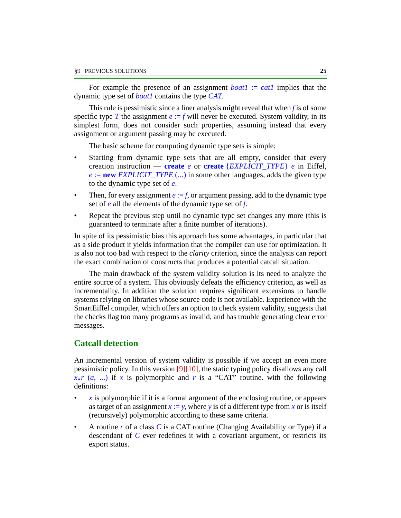For example the presence of an assignment  $boat1 := cat1$  implies that the dynamic type set of *boat1* contains the type *CAT*.

This rule is pessimistic since a finer analysis might reveal that when *f* is of some specific type *T* the assignment  $e := f$  will never be executed. System validity, in its simplest form, does not consider such properties, assuming instead that every assignment or argument passing may be executed.

The basic scheme for computing dynamic type sets is simple:

- Starting from dynamic type sets that are all empty, consider that every creation instruction — **create** *e* or **create** {*EXPLICIT\_TYPE*} *e* in Eiffel,  $e := new EXPLICIT_TYPE$  (...) in some other languages, adds the given type to the dynamic type set of *e*.
- Then, for every assignment  $e := f$ , or argument passing, add to the dynamic type set of *e* all the elements of the dynamic type set of *f*.
- Repeat the previous step until no dynamic type set changes any more (this is guaranteed to terminate after a finite number of iterations).

In spite of its pessimistic bias this approach has some advantages, in particular that as a side product it yields information that the compiler can use for optimization. It is also not too bad with respect to the *clarity* criterion, since the analysis can report the exact combination of constructs that produces a potential catcall situation.

The main drawback of the system validity solution is its need to analyze the entire source of a system. This obviously defeats the efficiency criterion, as well as incrementality. In addition the solution requires significant extensions to handle systems relying on libraries whose source code is not available. Experience with the SmartEiffel compiler, which offers an option to check system validity, suggests that the checks flag too many programs as invalid, and has trouble generating clear error messages.

### **Catcall detection**

An incremental version of system validity is possible if we accept an even more pessimistic policy. In this version  $[9][10]$  $[9][10]$ , the static typing policy disallows any call  $x \cdot r$  (*a*, ...) if *x* is polymorphic and *r* is a "CAT" routine. with the following definitions:

- *x* is polymorphic if it is a formal argument of the enclosing routine, or appears as target of an assignment  $x := y$ , where *y* is of a different type from *x* or is itself (recursively) polymorphic according to these same criteria.
- A routine *r* of a class *C* is a CAT routine (Changing Availability or Type) if a descendant of *C* ever redefines it with a covariant argument, or restricts its export status.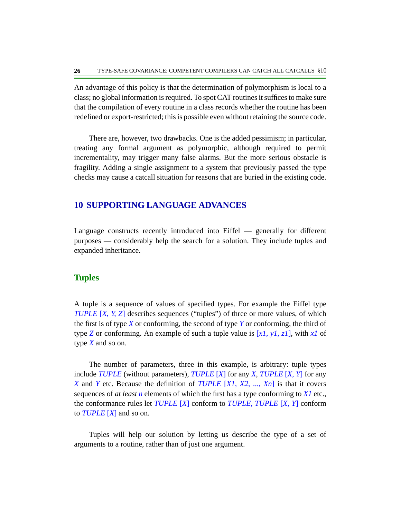An advantage of this policy is that the determination of polymorphism is local to a class; no global information is required. To spot CAT routines it suffices to make sure that the compilation of every routine in a class records whether the routine has been redefined or export-restricted; this is possible even without retaining the source code.

There are, however, two drawbacks. One is the added pessimism; in particular, treating any formal argument as polymorphic, although required to permit incrementality, may trigger many false alarms. But the more serious obstacle is fragility. Adding a single assignment to a system that previously passed the type checks may cause a catcall situation for reasons that are buried in the existing code.

#### **10 SUPPORTING LANGUAGE ADVANCES**

Language constructs recently introduced into Eiffel — generally for different purposes — considerably help the search for a solution. They include tuples and expanded inheritance.

### **Tuples**

A tuple is a sequence of values of specified types. For example the Eiffel type *TUPLE* [*X*, *Y*, *Z*] describes sequences ("tuples") of three or more values, of which the first is of type *X* or conforming, the second of type *Y* or conforming, the third of type *Z* or conforming. An example of such a tuple value is [*x1*, *y1*, *z1*], with *x1* of type *X* and so on.

The number of parameters, three in this example, is arbitrary: tuple types include *TUPLE* (without parameters), *TUPLE* [*X*] for any *X*, *TUPLE* [*X*, *Y*] for any *X* and *Y* etc. Because the definition of *TUPLE* [*X1*, *X2*, ..., *Xn*] is that it covers sequences of *at least n* elements of which the first has a type conforming to *X1* etc., the conformance rules let *TUPLE* [*X*] conform to *TUPLE*, *TUPLE* [*X*, *Y*] conform to *TUPLE* [*X*] and so on.

Tuples will help our solution by letting us describe the type of a set of arguments to a routine, rather than of just one argument.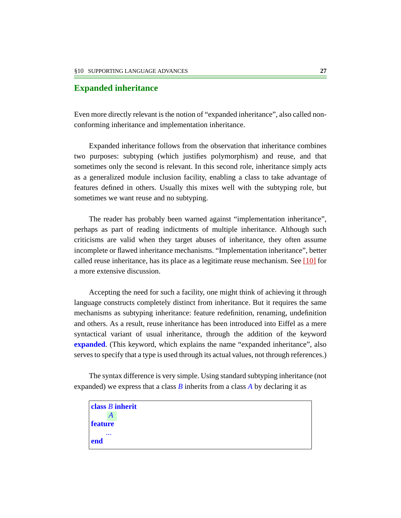### **Expanded inheritance**

Even more directly relevant is the notion of "expanded inheritance", also called nonconforming inheritance and implementation inheritance.

Expanded inheritance follows from the observation that inheritance combines two purposes: subtyping (which justifies polymorphism) and reuse, and that sometimes only the second is relevant. In this second role, inheritance simply acts as a generalized module inclusion facility, enabling a class to take advantage of features defined in others. Usually this mixes well with the subtyping role, but sometimes we want reuse and no subtyping.

The reader has probably been warned against "implementation inheritance", perhaps as part of reading indictments of multiple inheritance. Although such criticisms are valid when they target abuses of inheritance, they often assume incomplete or flawed inheritance mechanisms. "Implementation inheritance", better called reuse inheritance, has its place as a legitimate reuse mechanism. See [\[10\]](#page-38-1) for a more extensive discussion.

Accepting the need for such a facility, one might think of achieving it through language constructs completely distinct from inheritance. But it requires the same mechanisms as subtyping inheritance: feature redefinition, renaming, undefinition and others. As a result, reuse inheritance has been introduced into Eiffel as a mere syntactical variant of usual inheritance, through the addition of the keyword **expanded**. (This keyword, which explains the name "expanded inheritance", also serves to specify that a type is used through its actual values, not through references.)

The syntax difference is very simple. Using standard subtyping inheritance (not expanded) we express that a class *B* inherits from a class *A* by declaring it as

**class** *B* **inherit feature** ... **end** *A*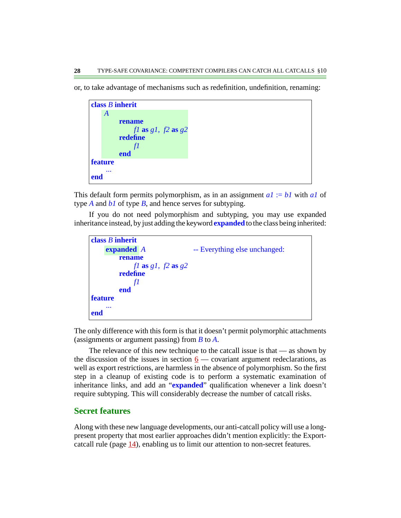or, to take advantage of mechanisms such as redefinition, undefinition, renaming:



This default form permits polymorphism, as in an assignment *a1* := *b1* with *a1* of type *A* and *b1* of type *B*, and hence serves for subtyping.

If you do not need polymorphism and subtyping, you may use expanded inheritance instead, by just adding the keyword **expanded** to the class being inherited:



The only difference with this form is that it doesn't permit polymorphic attachments (assignments or argument passing) from *B* to *A*.

The relevance of this new technique to the catcall issue is that — as shown by the discussion of the issues in section  $6$  — covariant argument redeclarations, as well as export restrictions, are harmless in the absence of polymorphism. So the first step in a cleanup of existing code is to perform a systematic examination of inheritance links, and add an "**expanded**" qualification whenever a link doesn't require subtyping. This will considerably decrease the number of catcall risks.

### **Secret features**

Along with these new language developments, our anti-catcall policy will use a longpresent property that most earlier approaches didn't mention explicitly: the Exportcatcall rule (page  $\underline{14}$ ), enabling us to limit our attention to non-secret features.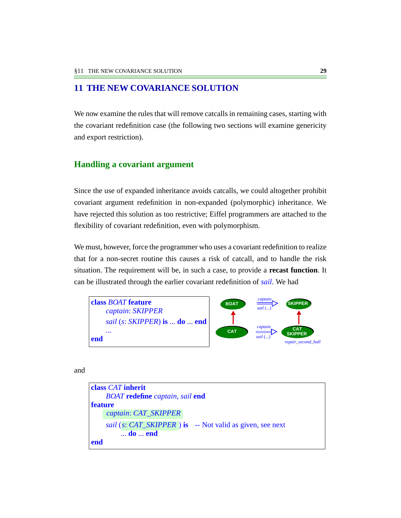## <span id="page-28-0"></span>**11 THE NEW COVARIANCE SOLUTION**

We now examine the rules that will remove catcalls in remaining cases, starting with the covariant redefinition case (the following two sections will examine genericity and export restriction).

## **Handling a covariant argument**

Since the use of expanded inheritance avoids catcalls, we could altogether prohibit covariant argument redefinition in non-expanded (polymorphic) inheritance. We have rejected this solution as too restrictive; Eiffel programmers are attached to the flexibility of covariant redefinition, even with polymorphism.

We must, however, force the programmer who uses a covariant redefinition to realize that for a non-secret routine this causes a risk of catcall, and to handle the risk situation. The requirement will be, in such a case, to provide a **recast function**. It can be illustrated through the earlier covariant redefinition of *sail*. We had



and

```
class CAT inherit
    BOAT redefine captain, sail end
feature
     sail (s: CAT_SKIPPER ) is -- Not valid as given, see next
         ... do ... end
end
     captain: CAT_SKIPPER
```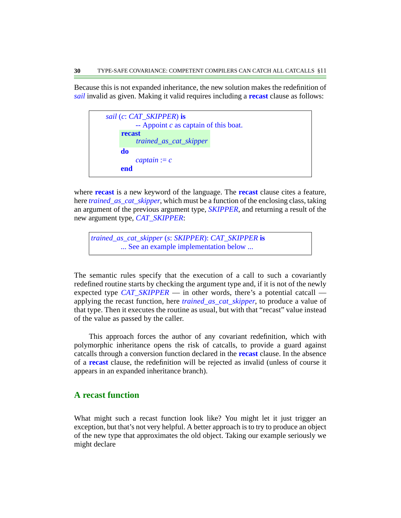Because this is not expanded inheritance, the new solution makes the redefinition of *sail* invalid as given. Making it valid requires including a **recast** clause as follows:

```
sail (c: CAT_SKIPPER) is
         -- Appoint c as captain of this boat.
    do
         captain := cend
     recast
         trained_as_cat_skipper
```
where **recast** is a new keyword of the language. The **recast** clause cites a feature, here *trained\_as\_cat\_skipper*, which must be a function of the enclosing class, taking an argument of the previous argument type, *SKIPPER*, and returning a result of the new argument type, *CAT\_SKIPPER*:

*trained\_as\_cat\_skipper* (*s*: *SKIPPER*): *CAT\_SKIPPER* **is** ... See an example implementation below ...

The semantic rules specify that the execution of a call to such a covariantly redefined routine starts by checking the argument type and, if it is not of the newly expected type *CAT\_SKIPPER* — in other words, there's a potential catcall applying the recast function, here *trained\_as\_cat\_skipper*, to produce a value of that type. Then it executes the routine as usual, but with that "recast" value instead of the value as passed by the caller.

This approach forces the author of any covariant redefinition, which with polymorphic inheritance opens the risk of catcalls, to provide a guard against catcalls through a conversion function declared in the **recast** clause. In the absence of a **recast** clause, the redefinition will be rejected as invalid (unless of course it appears in an expanded inheritance branch).

### **A recast function**

What might such a recast function look like? You might let it just trigger an exception, but that's not very helpful. A better approach is to try to produce an object of the new type that approximates the old object. Taking our example seriously we might declare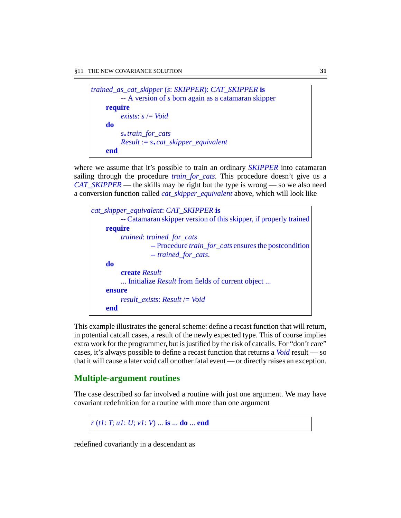| trained_as_cat_skipper (s: SKIPPER): CAT_SKIPPER is |
|-----------------------------------------------------|
| -- A version of s born again as a catamaran skipper |
| require                                             |
| exists: $s = \text{Void}$                           |
| do                                                  |
| s.train_for_cats                                    |
| $Result := s \cdot cat\_skipper\_equivalent$        |
| end                                                 |

where we assume that it's possible to train an ordinary *SKIPPER* into catamaran sailing through the procedure *train\_for\_cats*. This procedure doesn't give us a *CAT\_SKIPPER* — the skills may be right but the type is wrong — so we also need a conversion function called *cat\_skipper\_equivalent* above, which will look like

```
cat_skipper_equivalent: CAT_SKIPPER is
         -- Catamaran skipper version of this skipper, if properly trained
    require
         trained: trained_for_cats
                   -- Procedure train_for_cats ensures the postcondition
                   -- trained_for_cats.
    do
         create Result
         ... Initialize Result from fields of current object ...
    ensure
         result_exists: Result /= Void
    end
```
This example illustrates the general scheme: define a recast function that will return, in potential catcall cases, a result of the newly expected type. This of course implies extra work for the programmer, but is justified by the risk of catcalls. For "don't care" cases, it's always possible to define a recast function that returns a *Void* result — so that it will cause a later void call or other fatal event — or directly raises an exception.

# **Multiple-argument routines**

The case described so far involved a routine with just one argument. We may have covariant redefinition for a routine with more than one argument

```
r (t1: T; u1: U; v1: V) ... is ... do ... end
```
redefined covariantly in a descendant as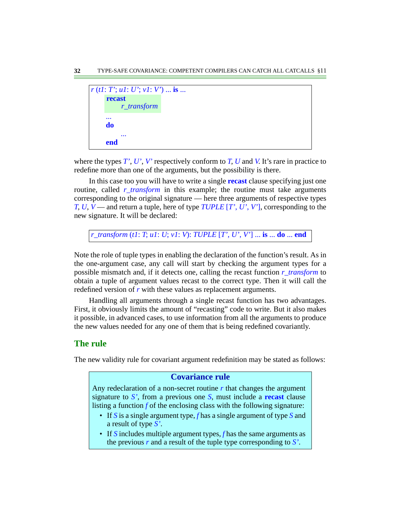```
r (t1: T'; u1: U'; v1: V') ... is ...
     ...
     do
           ...
     end
     recast
           r_transform
```
where the types  $T'$ ,  $U'$ ,  $V'$  respectively conform to  $T$ ,  $U$  and  $V$ . It's rare in practice to redefine more than one of the arguments, but the possibility is there.

In this case too you will have to write a single **recast** clause specifying just one routine, called *r\_transform* in this example; the routine must take arguments corresponding to the original signature — here three arguments of respective types *T*, *U*, *V* — and return a tuple, here of type *TUPLE* [*T'*, *U'*, *V'*], corresponding to the new signature. It will be declared:

```
r_transform (t1: T; u1: U; v1: V): TUPLE [T', U', V'] ... is ... do ... end
```
Note the role of tuple types in enabling the declaration of the function's result. As in the one-argument case, any call will start by checking the argument types for a possible mismatch and, if it detects one, calling the recast function *r\_transform* to obtain a tuple of argument values recast to the correct type. Then it will call the redefined version of *r* with these values as replacement arguments.

Handling all arguments through a single recast function has two advantages. First, it obviously limits the amount of "recasting" code to write. But it also makes it possible, in advanced cases, to use information from all the arguments to produce the new values needed for any one of them that is being redefined covariantly.

### **The rule**

The new validity rule for covariant argument redefinition may be stated as follows:

#### **Covariance rule**

Any redeclaration of a non-secret routine  $r$  that changes the argument signature to *S'*, from a previous one *S*, must include a **recast** clause listing a function *f* of the enclosing class with the following signature:

- If *S* is a single argument type, *f* has a single argument of type *S* and a result of type *S'*.
- If *S* includes multiple argument types, *f* has the same arguments as the previous *r* and a result of the tuple type corresponding to *S'*.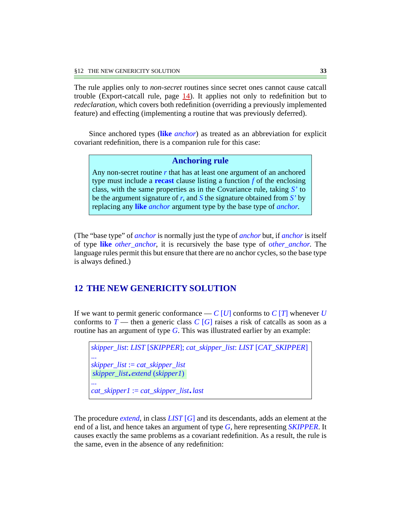The rule applies only to *non-secret* routines since secret ones cannot cause catcall trouble (Export-catcall rule, page  $\underline{14}$  $\underline{14}$  $\underline{14}$ ). It applies not only to redefinition but to *redeclaration*, which covers both redefinition (overriding a previously implemented feature) and effecting (implementing a routine that was previously deferred).

Since anchored types (**like** *anchor*) as treated as an abbreviation for explicit covariant redefinition, there is a companion rule for this case:

### **Anchoring rule**

Any non-secret routine *r* that has at least one argument of an anchored type must include a **recast** clause listing a function *f* of the enclosing class, with the same properties as in the Covariance rule, taking *S'* to be the argument signature of *r*, and *S* the signature obtained from *S'* by replacing any **like** *anchor* argument type by the base type of *anchor*.

(The "base type" of *anchor* is normally just the type of *anchor* but, if *anchor* is itself of type **like** *other\_anchor*, it is recursively the base type of *other\_anchor*. The language rules permit this but ensure that there are no anchor cycles, so the base type is always defined.)

# **12 THE NEW GENERICITY SOLUTION**

If we want to permit generic conformance  $-C[U]$  conforms to  $C[T]$  whenever  $U$ conforms to  $T$  — then a generic class  $C[G]$  raises a risk of catcalls as soon as a routine has an argument of type *G*. This was illustrated earlier by an example:

*skipper\_list*: *LIST* [*SKIPPER*]; *cat\_skipper\_list*: *LIST* [*CAT\_SKIPPER*] ... *skipper\_list* := *cat\_skipper\_list* ... *cat\_skipper1* := *cat\_skipper\_list*.*last skipper\_list*.*extend* (*skipper1*)

The procedure *extend*, in class *LIST* [*G*] and its descendants, adds an element at the end of a list, and hence takes an argument of type *G*, here representing *SKIPPER*. It causes exactly the same problems as a covariant redefinition. As a result, the rule is the same, even in the absence of any redefinition: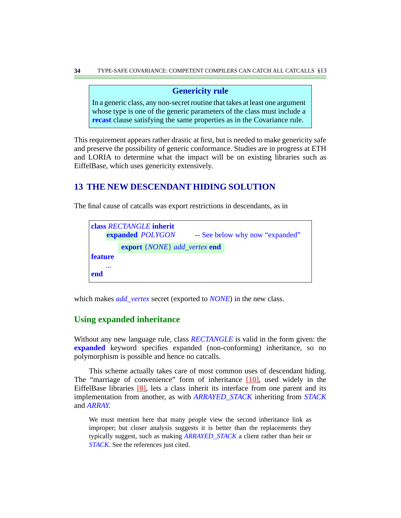### **Genericity rule**

In a generic class, any non-secret routine that takes at least one argument whose type is one of the generic parameters of the class must include a **recast** clause satisfying the same properties as in the Covariance rule.

This requirement appears rather drastic at first, but is needed to make genericity safe and preserve the possibility of generic conformance. Studies are in progress at ETH and LORIA to determine what the impact will be on existing libraries such as EiffelBase, which uses genericity extensively.

# **13 THE NEW DESCENDANT HIDING SOLUTION**

The final cause of catcalls was export restrictions in descendants, as in

| class RECTANGLE inherit |  |                                                     |                                 |  |
|-------------------------|--|-----------------------------------------------------|---------------------------------|--|
|                         |  | expanded POLYGON                                    | -- See below why now "expanded" |  |
|                         |  | <b>export</b> { <i>NONE</i> } add_vertex <b>end</b> |                                 |  |
| <b>feature</b>          |  |                                                     |                                 |  |
| $\cdots$<br>end         |  |                                                     |                                 |  |

which makes *add\_vertex* secret (exported to *NONE*) in the new class.

# **Using expanded inheritance**

Without any new language rule, class *RECTANGLE* is valid in the form given: the **expanded** keyword specifies expanded (non-conforming) inheritance, so no polymorphism is possible and hence no catcalls.

This scheme actually takes care of most common uses of descendant hiding. The "marriage of convenience" form of inheritance [\[10\]](#page-38-1), used widely in the EiffelBase libraries [\[8\]](#page-38-8), lets a class inherit its interface from one parent and its implementation from another, as with *ARRAYED\_STACK* inheriting from *STACK* and *ARRAY*.

We must mention here that many people view the second inheritance link as improper; but closer analysis suggests it is better than the replacements they typically suggest, such as making *ARRAYED\_STACK* a client rather than heir or *STACK*. See the references just cited.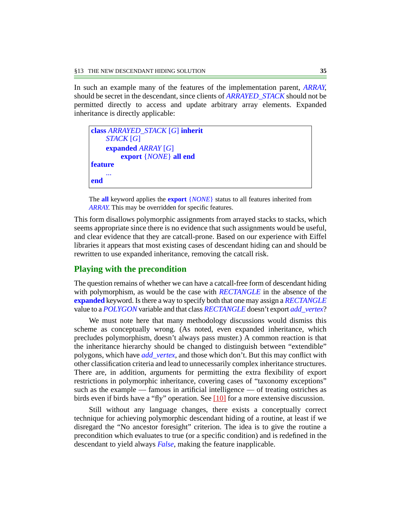In such an example many of the features of the implementation parent, *ARRAY*, should be secret in the descendant, since clients of *ARRAYED\_STACK* should not be permitted directly to access and update arbitrary array elements. Expanded inheritance is directly applicable:

```
class ARRAYED_STACK [G] inherit
    STACK [G]
    expanded ARRAY [G]
        export {NONE} all end
feature
    ...
end
```
The **all** keyword applies the **export** {*NONE*} status to all features inherited from *ARRAY*. This may be overridden for specific features.

This form disallows polymorphic assignments from arrayed stacks to stacks, which seems appropriate since there is no evidence that such assignments would be useful, and clear evidence that they are catcall-prone. Based on our experience with Eiffel libraries it appears that most existing cases of descendant hiding can and should be rewritten to use expanded inheritance, removing the catcall risk.

### **Playing with the precondition**

The question remains of whether we can have a catcall-free form of descendant hiding with polymorphism, as would be the case with *RECTANGLE* in the absence of the **expanded** keyword. Is there a way to specify both that one may assign a *RECTANGLE* value to a *POLYGON* variable and that class *RECTANGLE* doesn't export *add\_vertex*?

We must note here that many methodology discussions would dismiss this scheme as conceptually wrong. (As noted, even expanded inheritance, which precludes polymorphism, doesn't always pass muster.) A common reaction is that the inheritance hierarchy should be changed to distinguish between "extendible" polygons, which have *add\_vertex*, and those which don't. But this may conflict with other classification criteria and lead to unnecessarily complex inheritance structures. There are, in addition, arguments for permitting the extra flexibility of export restrictions in polymorphic inheritance, covering cases of "taxonomy exceptions" such as the example — famous in artificial intelligence — of treating ostriches as birds even if birds have a "fly" operation. See [\[10\]](#page-38-1) for a more extensive discussion.

Still without any language changes, there exists a conceptually correct technique for achieving polymorphic descendant hiding of a routine, at least if we disregard the "No ancestor foresight" criterion. The idea is to give the routine a precondition which evaluates to true (or a specific condition) and is redefined in the descendant to yield always *False*, making the feature inapplicable.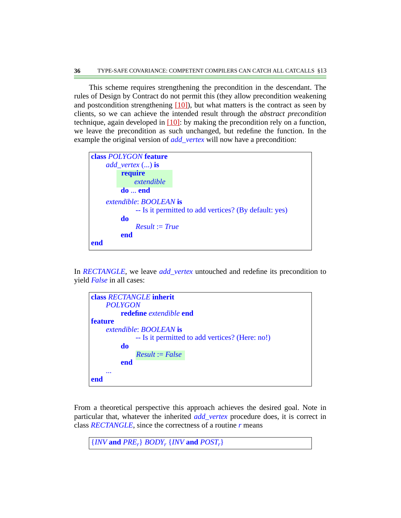This scheme requires strengthening the precondition in the descendant. The rules of Design by Contract do not permit this (they allow precondition weakening and postcondition strengthening  $[10]$ , but what matters is the contract as seen by clients, so we can achieve the intended result through the *abstract precondition* technique, again developed in [\[10\]](#page-38-1): by making the precondition rely on a function, we leave the precondition as such unchanged, but redefine the function. In the example the original version of *add vertex* will now have a precondition:

|     | class POLYGON feature         |                                                       |
|-----|-------------------------------|-------------------------------------------------------|
|     | $add\_vertex$ () is           |                                                       |
|     | require                       |                                                       |
|     | extendible                    |                                                       |
|     | $do \dots end$                |                                                       |
|     | extendible: <b>BOOLEAN</b> is |                                                       |
|     |                               | -- Is it permitted to add vertices? (By default: yes) |
|     | do                            |                                                       |
|     | $Result := True$              |                                                       |
|     | end                           |                                                       |
| end |                               |                                                       |
|     |                               |                                                       |

In *RECTANGLE*, we leave *add\_vertex* untouched and redefine its precondition to yield *False* in all cases:

```
class RECTANGLE inherit
    POLYGON
         redefine extendible end
feature
    extendible: BOOLEAN is
              -- Is it permitted to add vertices? (Here: no!)
         do
         end
     ...
end
              Result := False
```
From a theoretical perspective this approach achieves the desired goal. Note in particular that, whatever the inherited *add\_vertex* procedure does, it is correct in class *RECTANGLE*, since the correctness of a routine *r* means

 ${NVM}$  and  $PRE_r$ *} BODY<sub>r</sub></sub>*  ${NVM}$  and  $POST_r$ *}*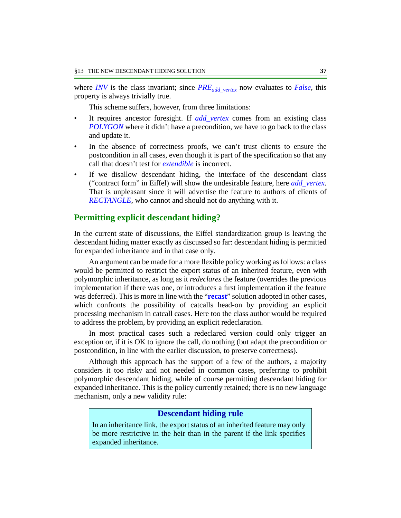where *INV* is the class invariant; since  $PRE_{add\,vertex}$  now evaluates to *False*, this property is always trivially true.

This scheme suffers, however, from three limitations:

- It requires ancestor foresight. If *add\_vertex* comes from an existing class *POLYGON* where it didn't have a precondition, we have to go back to the class and update it.
- In the absence of correctness proofs, we can't trust clients to ensure the postcondition in all cases, even though it is part of the specification so that any call that doesn't test for *extendible* is incorrect.
- If we disallow descendant hiding, the interface of the descendant class ("contract form" in Eiffel) will show the undesirable feature, here *add\_vertex*. That is unpleasant since it will advertise the feature to authors of clients of *RECTANGLE*, who cannot and should not do anything with it.

### **Permitting explicit descendant hiding?**

In the current state of discussions, the Eiffel standardization group is leaving the descendant hiding matter exactly as discussed so far: descendant hiding is permitted for expanded inheritance and in that case only.

An argument can be made for a more flexible policy working as follows: a class would be permitted to restrict the export status of an inherited feature, even with polymorphic inheritance, as long as it *redeclares* the feature (overrides the previous implementation if there was one, or introduces a first implementation if the feature was deferred). This is more in line with the "**recast**" solution adopted in other cases, which confronts the possibility of catcalls head-on by providing an explicit processing mechanism in catcall cases. Here too the class author would be required to address the problem, by providing an explicit redeclaration.

In most practical cases such a redeclared version could only trigger an exception or, if it is OK to ignore the call, do nothing (but adapt the precondition or postcondition, in line with the earlier discussion, to preserve correctness).

Although this approach has the support of a few of the authors, a majority considers it too risky and not needed in common cases, preferring to prohibit polymorphic descendant hiding, while of course permitting descendant hiding for expanded inheritance. This is the policy currently retained; there is no new language mechanism, only a new validity rule:

#### **Descendant hiding rule**

In an inheritance link, the export status of an inherited feature may only be more restrictive in the heir than in the parent if the link specifies expanded inheritance.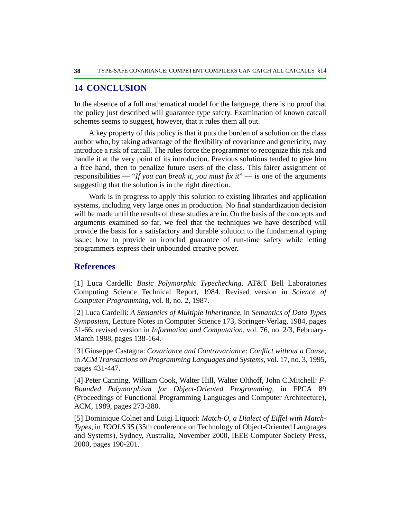## **14 CONCLUSION**

In the absence of a full mathematical model for the language, there is no proof that the policy just described will guarantee type safety. Examination of known catcall schemes seems to suggest, however, that it rules them all out.

A key property of this policy is that it puts the burden of a solution on the class author who, by taking advantage of the flexibility of covariance and genericity, may introduce a risk of catcall. The rules force the programmer to recognize this risk and handle it at the very point of its introducion. Previous solutions tended to give him a free hand, then to penalize future users of the class. This fairer assignment of responsibilities — "*If you can break it, you must fix it*" — is one of the arguments suggesting that the solution is in the right direction.

Work is in progress to apply this solution to existing libraries and application systems, including very large ones in production. No final standardization decision will be made until the results of these studies are in. On the basis of the concepts and arguments examined so far, we feel that the techniques we have described will provide the basis for a satisfactory and durable solution to the fundamental typing issue: how to provide an ironclad guarantee of run-time safety while letting programmers express their unbounded creative power.

### **References**

<span id="page-37-0"></span>[1] Luca Cardelli: *Basic Polymorphic Typechecking*, AT&T Bell Laboratories Computing Science Technical Report, 1984. Revised version in *Science of Computer Programming*, vol. 8, no. 2, 1987.

<span id="page-37-1"></span>[2] Luca Cardelli: *A Semantics of Multiple Inheritance*, in *Semantics of Data Types Symposium*, Lecture Notes in Computer Science 173, Springer-Verlag, 1984, pages 51-66; revised version in *Information and Computation*, vol. 76, no. 2/3, February-March 1988, pages 138-164.

<span id="page-37-3"></span>[3] Giuseppe Castagna: *Covariance and Contravariance*: *Conflict without a Cause*, in *ACM Transactions on Programming Languages and Systems*, vol. 17, no. 3, 1995, pages 431-447.

<span id="page-37-2"></span>[4] Peter Canning, William Cook, Walter Hill, Walter Olthoff, John C.Mitchell: *F-Bounded Polymorphism for Object-Oriented Programming*, in FPCA 89 (Proceedings of Functional Programming Languages and Computer Architecture), ACM, 1989, pages 273-280.

<span id="page-37-4"></span>[5] Dominique Colnet and Luigi Liquori: *Match-O*, *a Dialect of Eiffel with Match-Types*, in *TOOLS 35* (35th conference on Technology of Object-Oriented Languages and Systems), Sydney, Australia, November 2000, IEEE Computer Society Press, 2000, pages 190-201.